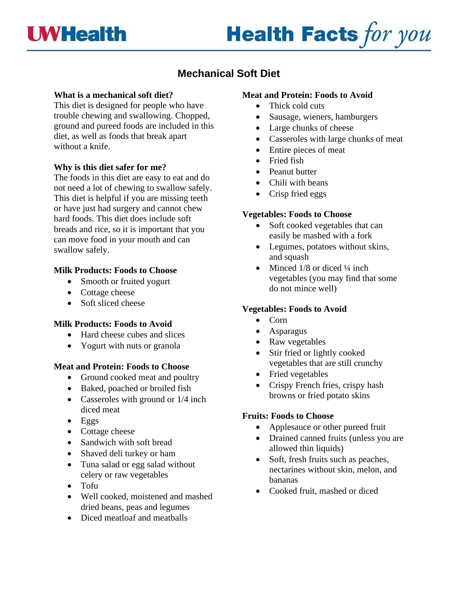

# **Health Facts for you**

# **Mechanical Soft Diet**

#### **What is a mechanical soft diet?**

This diet is designed for people who have trouble chewing and swallowing. Chopped, ground and pureed foods are included in this diet, as well as foods that break apart without a knife.

#### **Why is this diet safer for me?**

The foods in this diet are easy to eat and do not need a lot of chewing to swallow safely. This diet is helpful if you are missing teeth or have just had surgery and cannot chew hard foods. This diet does include soft breads and rice, so it is important that you can move food in your mouth and can swallow safely.

#### **Milk Products: Foods to Choose**

- Smooth or fruited yogurt
- Cottage cheese
- Soft sliced cheese

#### **Milk Products: Foods to Avoid**

- Hard cheese cubes and slices
- Yogurt with nuts or granola

#### **Meat and Protein: Foods to Choose**

- Ground cooked meat and poultry
- Baked, poached or broiled fish
- Casseroles with ground or  $1/4$  inch diced meat
- Eggs
- Cottage cheese
- Sandwich with soft bread
- Shaved deli turkey or ham
- Tuna salad or egg salad without celery or raw vegetables
- Tofu
- Well cooked, moistened and mashed dried beans, peas and legumes
- Diced meatloaf and meatballs

#### **Meat and Protein: Foods to Avoid**

- Thick cold cuts
- Sausage, wieners, hamburgers
- Large chunks of cheese
- Casseroles with large chunks of meat
- Entire pieces of meat
- Fried fish
- Peanut butter
- Chili with beans
- Crisp fried eggs

#### **Vegetables: Foods to Choose**

- Soft cooked vegetables that can easily be mashed with a fork
- Legumes, potatoes without skins, and squash
- Minced 1/8 or diced 1/4 inch vegetables (you may find that some do not mince well)

# **Vegetables: Foods to Avoid**

- Corn
- Asparagus
- Raw vegetables
- Stir fried or lightly cooked vegetables that are still crunchy
- Fried vegetables
- Crispy French fries, crispy hash browns or fried potato skins

#### **Fruits: Foods to Choose**

- Applesauce or other pureed fruit
- Drained canned fruits (unless you are allowed thin liquids)
- Soft, fresh fruits such as peaches, nectarines without skin, melon, and bananas
- Cooked fruit, mashed or diced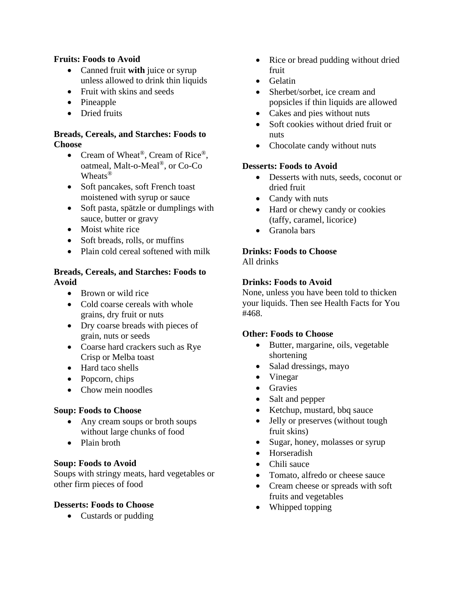## **Fruits: Foods to Avoid**

- Canned fruit **with** juice or syrup unless allowed to drink thin liquids
- Fruit with skins and seeds
- Pineapple
- Dried fruits

## **Breads, Cereals, and Starches: Foods to Choose**

- Cream of Wheat<sup>®</sup>, Cream of Rice<sup>®</sup>, oatmeal, Malt-o-Meal®, or Co-Co Wheats®
- Soft pancakes, soft French toast moistened with syrup or sauce
- Soft pasta, spätzle or dumplings with sauce, butter or gravy
- Moist white rice
- Soft breads, rolls, or muffins
- Plain cold cereal softened with milk

## **Breads, Cereals, and Starches: Foods to Avoid**

- Brown or wild rice
- Cold coarse cereals with whole grains, dry fruit or nuts
- Dry coarse breads with pieces of grain, nuts or seeds
- Coarse hard crackers such as Rye Crisp or Melba toast
- Hard taco shells
- Popcorn, chips
- Chow mein noodles

# **Soup: Foods to Choose**

- Any cream soups or broth soups without large chunks of food
- Plain broth

#### **Soup: Foods to Avoid**

Soups with stringy meats, hard vegetables or other firm pieces of food

#### **Desserts: Foods to Choose**

• Custards or pudding

- Rice or bread pudding without dried fruit
- Gelatin
- Sherbet/sorbet, ice cream and popsicles if thin liquids are allowed
- Cakes and pies without nuts
- Soft cookies without dried fruit or nuts
- Chocolate candy without nuts

#### **Desserts: Foods to Avoid**

- Desserts with nuts, seeds, coconut or dried fruit
- Candy with nuts
- Hard or chewy candy or cookies (taffy, caramel, licorice)
- Granola bars

# **Drinks: Foods to Choose**

All drinks

#### **Drinks: Foods to Avoid**

None, unless you have been told to thicken your liquids. Then see Health Facts for You #468.

#### **Other: Foods to Choose**

- Butter, margarine, oils, vegetable shortening
- Salad dressings, mayo
- Vinegar
- Gravies
- Salt and pepper
- Ketchup, mustard, bbq sauce
- Jelly or preserves (without tough fruit skins)
- Sugar, honey, molasses or syrup
- Horseradish
- Chili sauce
- Tomato, alfredo or cheese sauce
- Cream cheese or spreads with soft fruits and vegetables
- Whipped topping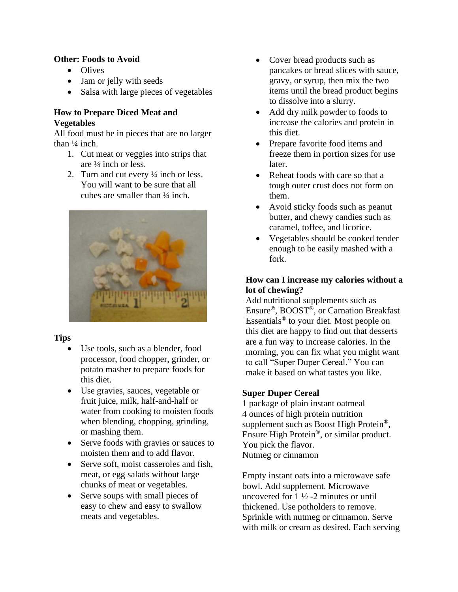# **Other: Foods to Avoid**

- Olives
- Jam or jelly with seeds
- Salsa with large pieces of vegetables

# **How to Prepare Diced Meat and Vegetables**

All food must be in pieces that are no larger than  $\frac{1}{4}$  inch.

- 1. Cut meat or veggies into strips that are ¼ inch or less.
- 2. Turn and cut every ¼ inch or less. You will want to be sure that all cubes are smaller than ¼ inch.



# **Tips**

- Use tools, such as a blender, food processor, food chopper, grinder, or potato masher to prepare foods for this diet.
- Use gravies, sauces, vegetable or fruit juice, milk, half-and-half or water from cooking to moisten foods when blending, chopping, grinding, or mashing them.
- Serve foods with gravies or sauces to moisten them and to add flavor.
- Serve soft, moist casseroles and fish. meat, or egg salads without large chunks of meat or vegetables.
- Serve soups with small pieces of easy to chew and easy to swallow meats and vegetables.
- Cover bread products such as pancakes or bread slices with sauce, gravy, or syrup, then mix the two items until the bread product begins to dissolve into a slurry.
- Add dry milk powder to foods to increase the calories and protein in this diet.
- Prepare favorite food items and freeze them in portion sizes for use later.
- Reheat foods with care so that a tough outer crust does not form on them.
- Avoid sticky foods such as peanut butter, and chewy candies such as caramel, toffee, and licorice.
- Vegetables should be cooked tender enough to be easily mashed with a fork.

# **How can I increase my calories without a lot of chewing?**

Add nutritional supplements such as Ensure®, BOOST®, or Carnation Breakfast Essentials® to your diet. Most people on this diet are happy to find out that desserts are a fun way to increase calories. In the morning, you can fix what you might want to call "Super Duper Cereal." You can make it based on what tastes you like.

# **Super Duper Cereal**

1 package of plain instant oatmeal 4 ounces of high protein nutrition supplement such as Boost High Protein®, Ensure High Protein®, or similar product. You pick the flavor. Nutmeg or cinnamon

Empty instant oats into a microwave safe bowl. Add supplement. Microwave uncovered for  $1\frac{1}{2}$  -2 minutes or until thickened. Use potholders to remove. Sprinkle with nutmeg or cinnamon. Serve with milk or cream as desired. Each serving